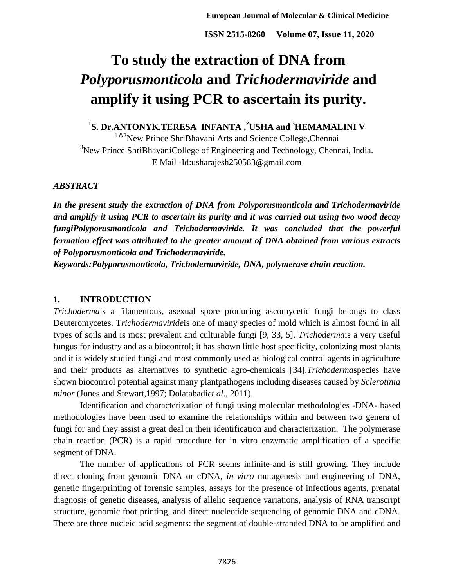# **To study the extraction of DNA from**  *Polyporusmonticola* **and** *Trichodermaviride* **and amplify it using PCR to ascertain its purity.**

**1 S. Dr.ANTONYK.TERESA INFANTA , <sup>2</sup>USHA and <sup>3</sup>HEMAMALINI V**

 $1 \& 2$ New Prince ShriBhavani Arts and Science College, Chennai <sup>3</sup>New Prince ShriBhavaniCollege of Engineering and Technology, Chennai, India. E Mail -Id:usharajesh250583@gmail.com

#### *ABSTRACT*

*In the present study the extraction of DNA from Polyporusmonticola and Trichodermaviride and amplify it using PCR to ascertain its purity and it was carried out using two wood decay fungiPolyporusmonticola and Trichodermaviride. It was concluded that the powerful fermation effect was attributed to the greater amount of DNA obtained from various extracts of Polyporusmonticola and Trichodermaviride.*

*Keywords:Polyporusmonticola, Trichodermaviride, DNA, polymerase chain reaction.*

## **1. INTRODUCTION**

*Trichoderma*is a filamentous, asexual spore producing ascomycetic fungi belongs to class Deuteromycetes. T*richodermaviride*is one of many species of mold which is almost found in all types of soils and is most prevalent and culturable fungi [9, 33, 5]. *Trichoderma*is a very useful fungus for industry and as a biocontrol; it has shown little host specificity, colonizing most plants and it is widely studied fungi and most commonly used as biological control agents in agriculture and their products as alternatives to synthetic agro-chemicals [34].*Trichoderma*species have shown biocontrol potential against many plantpathogens including diseases caused by *Sclerotinia minor* (Jones and Stewart,1997; Dolatabadi*et al*., 2011).

Identification and characterization of fungi using molecular methodologies -DNA- based methodologies have been used to examine the relationships within and between two genera of fungi for and they assist a great deal in their identification and characterization. The polymerase chain reaction (PCR) is a rapid procedure for in vitro enzymatic amplification of a specific segment of DNA.

The number of applications of PCR seems infinite-and is still growing. They include direct cloning from genomic DNA or cDNA, *in vitro* mutagenesis and engineering of DNA, genetic fingerprinting of forensic samples, assays for the presence of infectious agents, prenatal diagnosis of genetic diseases, analysis of allelic sequence variations, analysis of RNA transcript structure, genomic foot printing, and direct nucleotide sequencing of genomic DNA and cDNA. There are three nucleic acid segments: the segment of double-stranded DNA to be amplified and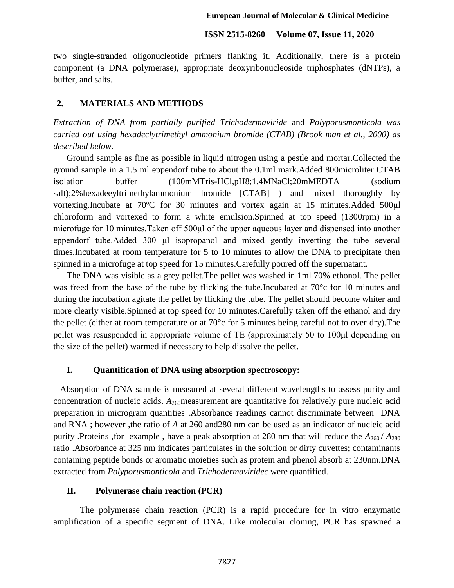two single-stranded oligonucleotide primers flanking it. Additionally, there is a protein component (a DNA polymerase), appropriate deoxyribonucleoside triphosphates (dNTPs), a buffer, and salts.

### **2. MATERIALS AND METHODS**

*Extraction of DNA from partially purified Trichodermaviride* and *Polyporusmonticola was carried out using hexadeclytrimethyl ammonium bromide (CTAB) (Brook man et al., 2000) as described below.*

Ground sample as fine as possible in liquid nitrogen using a pestle and mortar.Collected the ground sample in a 1.5 ml eppendorf tube to about the 0.1ml mark.Added 800microliter CTAB isolation buffer (100mMTris-HCl,pH8;1.4MNaCl;20mMEDTA (sodium salt);2%hexadeeyltrimethylammonium bromide [CTAB] ) and mixed thoroughly by vortexing.Incubate at 70ºC for 30 minutes and vortex again at 15 minutes.Added 500μl chloroform and vortexed to form a white emulsion.Spinned at top speed (1300rpm) in a microfuge for 10 minutes.Taken off 500μl of the upper aqueous layer and dispensed into another eppendorf tube.Added 300 μl isopropanol and mixed gently inverting the tube several times.Incubated at room temperature for 5 to 10 minutes to allow the DNA to precipitate then spinned in a microfuge at top speed for 15 minutes.Carefully poured off the supernatant.

The DNA was visible as a grey pellet.The pellet was washed in 1ml 70% ethonol. The pellet was freed from the base of the tube by flicking the tube.Incubated at 70<sup>o</sup>c for 10 minutes and during the incubation agitate the pellet by flicking the tube. The pellet should become whiter and more clearly visible.Spinned at top speed for 10 minutes.Carefully taken off the ethanol and dry the pellet (either at room temperature or at 70°c for 5 minutes being careful not to over dry).The pellet was resuspended in appropriate volume of TE (approximately 50 to 100μl depending on the size of the pellet) warmed if necessary to help dissolve the pellet.

#### **I. Quantification of DNA using absorption spectroscopy:**

 Absorption of DNA sample is measured at several different wavelengths to assess purity and concentration of nucleic acids.  $A_{260}$  measurement are quantitative for relatively pure nucleic acid preparation in microgram quantities .Absorbance readings cannot discriminate between DNA and RNA ; however ,the ratio of *A* at 260 and280 nm can be used as an indicator of nucleic acid purity .Proteins ,for example, have a peak absorption at 280 nm that will reduce the  $A_{260}/A_{280}$ ratio .Absorbance at 325 nm indicates particulates in the solution or dirty cuvettes; contaminants containing peptide bonds or aromatic moieties such as protein and phenol absorb at 230nm.DNA extracted from *Polyporusmonticola* and *Trichodermaviridec* were quantified.

#### **II. Polymerase chain reaction (PCR)**

The polymerase chain reaction (PCR) is a rapid procedure for in vitro enzymatic amplification of a specific segment of DNA. Like molecular cloning, PCR has spawned a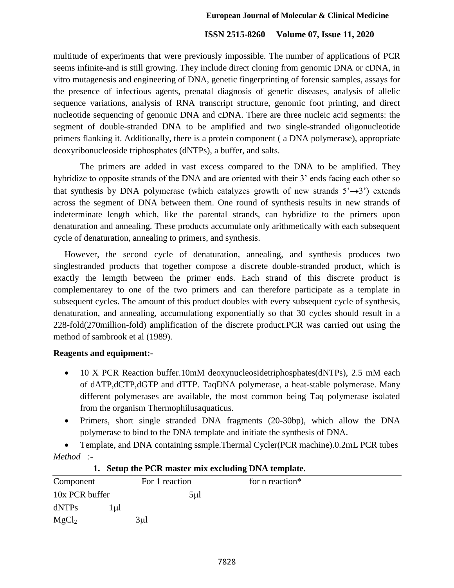multitude of experiments that were previously impossible. The number of applications of PCR seems infinite-and is still growing. They include direct cloning from genomic DNA or cDNA, in vitro mutagenesis and engineering of DNA, genetic fingerprinting of forensic samples, assays for the presence of infectious agents, prenatal diagnosis of genetic diseases, analysis of allelic sequence variations, analysis of RNA transcript structure, genomic foot printing, and direct nucleotide sequencing of genomic DNA and cDNA. There are three nucleic acid segments: the segment of double-stranded DNA to be amplified and two single-stranded oligonucleotide primers flanking it. Additionally, there is a protein component ( a DNA polymerase), appropriate deoxyribonucleoside triphosphates (dNTPs), a buffer, and salts.

The primers are added in vast excess compared to the DNA to be amplified. They hybridize to opposite strands of the DNA and are oriented with their 3' ends facing each other so that synthesis by DNA polymerase (which catalyzes growth of new strands  $5' \rightarrow 3'$ ) extends across the segment of DNA between them. One round of synthesis results in new strands of indeterminate length which, like the parental strands, can hybridize to the primers upon denaturation and annealing. These products accumulate only arithmetically with each subsequent cycle of denaturation, annealing to primers, and synthesis.

 However, the second cycle of denaturation, annealing, and synthesis produces two singlestranded products that together compose a discrete double-stranded product, which is exactly the lemgth between the primer ends. Each strand of this discrete product is complementarey to one of the two primers and can therefore participate as a template in subsequent cycles. The amount of this product doubles with every subsequent cycle of synthesis, denaturation, and annealing, accumulationg exponentially so that 30 cycles should result in a 228-fold(270million-fold) amplification of the discrete product.PCR was carried out using the method of sambrook et al (1989).

#### **Reagents and equipment:-**

- 10 X PCR Reaction buffer.10mM deoxynucleosidetriphosphates(dNTPs), 2.5 mM each of dATP,dCTP,dGTP and dTTP. TaqDNA polymerase, a heat-stable polymerase. Many different polymerases are available, the most common being Taq polymerase isolated from the organism Thermophilusaquaticus.
- Primers, short single stranded DNA fragments (20-30bp), which allow the DNA polymerase to bind to the DNA template and initiate the synthesis of DNA.

 Template, and DNA containing ssmple.Thermal Cycler(PCR machine).0.2mL PCR tubes *Method :-*

| Component         | For 1 reaction | for n reaction* |  |
|-------------------|----------------|-----------------|--|
| 10x PCR buffer    | $5 \mu$        |                 |  |
| dNTPs<br>.ul      |                |                 |  |
| MgCl <sub>2</sub> | $3\mu$ l       |                 |  |

#### **1. Setup the PCR master mix excluding DNA template.**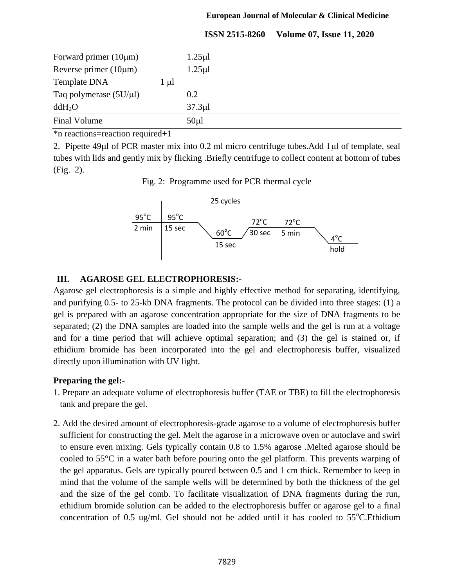#### **European Journal of Molecular & Clinical Medicine**

## **ISSN 2515-8260 Volume 07, Issue 11, 2020**

| Forward primer $(10 \mu m)$ |           | $1.25 \mu$ |  |  |
|-----------------------------|-----------|------------|--|--|
| Reverse primer $(10 \mu m)$ |           | $1.25 \mu$ |  |  |
| Template DNA                | $1 \mu l$ |            |  |  |
| Taq polymerase $(5U/\mu l)$ |           | 0.2        |  |  |
| ddH <sub>2</sub> O          |           | $37.3 \mu$ |  |  |
| Final Volume                |           | $50 \mu l$ |  |  |

\*n reactions=reaction required+1

2. Pipette  $49\mu$ l of PCR master mix into 0.2 ml micro centrifuge tubes. Add  $1\mu$ l of template, seal tubes with lids and gently mix by flicking .Briefly centrifuge to collect content at bottom of tubes (Fig. 2).

Fig. 2: Programme used for PCR thermal cycle



#### **III. AGAROSE GEL ELECTROPHORESIS:-**

Agarose gel electrophoresis is a simple and highly effective method for separating, identifying, and purifying 0.5- to 25-kb DNA fragments. The protocol can be divided into three stages: (1) a gel is prepared with an agarose concentration appropriate for the size of DNA fragments to be separated; (2) the DNA samples are loaded into the sample wells and the gel is run at a voltage and for a time period that will achieve optimal separation; and (3) the gel is stained or, if ethidium bromide has been incorporated into the gel and electrophoresis buffer, visualized directly upon illumination with UV light.

## **Preparing the gel:-**

- 1. Prepare an adequate volume of electrophoresis buffer (TAE or TBE) to fill the electrophoresis tank and prepare the gel.
- 2. Add the desired amount of electrophoresis-grade agarose to a volume of electrophoresis buffer sufficient for constructing the gel. Melt the agarose in a microwave oven or autoclave and swirl to ensure even mixing. Gels typically contain 0.8 to 1.5% agarose .Melted agarose should be cooled to 55°C in a water bath before pouring onto the gel platform. This prevents warping of the gel apparatus. Gels are typically poured between 0.5 and 1 cm thick. Remember to keep in mind that the volume of the sample wells will be determined by both the thickness of the gel and the size of the gel comb. To facilitate visualization of DNA fragments during the run, ethidium bromide solution can be added to the electrophoresis buffer or agarose gel to a final concentration of 0.5 ug/ml. Gel should not be added until it has cooled to  $55^{\circ}$ C. Ethidium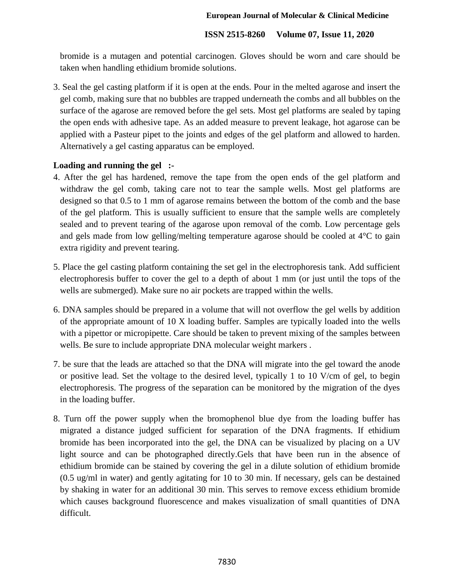bromide is a mutagen and potential carcinogen. Gloves should be worn and care should be taken when handling ethidium bromide solutions.

3. Seal the gel casting platform if it is open at the ends. Pour in the melted agarose and insert the gel comb, making sure that no bubbles are trapped underneath the combs and all bubbles on the surface of the agarose are removed before the gel sets. Most gel platforms are sealed by taping the open ends with adhesive tape. As an added measure to prevent leakage, hot agarose can be applied with a Pasteur pipet to the joints and edges of the gel platform and allowed to harden. Alternatively a gel casting apparatus can be employed.

## **Loading and running the gel :-**

- 4. After the gel has hardened, remove the tape from the open ends of the gel platform and withdraw the gel comb, taking care not to tear the sample wells. Most gel platforms are designed so that 0.5 to 1 mm of agarose remains between the bottom of the comb and the base of the gel platform. This is usually sufficient to ensure that the sample wells are completely sealed and to prevent tearing of the agarose upon removal of the comb. Low percentage gels and gels made from low gelling/melting temperature agarose should be cooled at 4°C to gain extra rigidity and prevent tearing.
- 5. Place the gel casting platform containing the set gel in the electrophoresis tank. Add sufficient electrophoresis buffer to cover the gel to a depth of about 1 mm (or just until the tops of the wells are submerged). Make sure no air pockets are trapped within the wells.
- 6. DNA samples should be prepared in a volume that will not overflow the gel wells by addition of the appropriate amount of 10 X loading buffer. Samples are typically loaded into the wells with a pipettor or micropipette. Care should be taken to prevent mixing of the samples between wells. Be sure to include appropriate DNA molecular weight markers .
- 7. be sure that the leads are attached so that the DNA will migrate into the gel toward the anode or positive lead. Set the voltage to the desired level, typically 1 to 10 V/cm of gel, to begin electrophoresis. The progress of the separation can be monitored by the migration of the dyes in the loading buffer.
- 8. Turn off the power supply when the bromophenol blue dye from the loading buffer has migrated a distance judged sufficient for separation of the DNA fragments. If ethidium bromide has been incorporated into the gel, the DNA can be visualized by placing on a UV light source and can be photographed directly.Gels that have been run in the absence of ethidium bromide can be stained by covering the gel in a dilute solution of ethidium bromide (0.5 ug/ml in water) and gently agitating for 10 to 30 min. If necessary, gels can be destained by shaking in water for an additional 30 min. This serves to remove excess ethidium bromide which causes background fluorescence and makes visualization of small quantities of DNA difficult.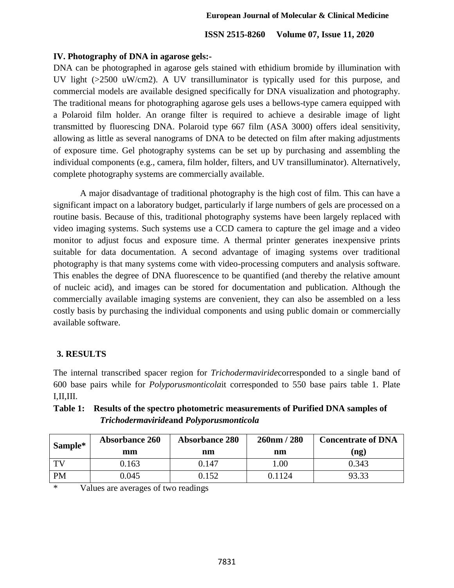## **IV. Photography of DNA in agarose gels:-**

DNA can be photographed in agarose gels stained with ethidium bromide by illumination with UV light (>2500 uW/cm2). A UV transilluminator is typically used for this purpose, and commercial models are available designed specifically for DNA visualization and photography. The traditional means for photographing agarose gels uses a bellows-type camera equipped with a Polaroid film holder. An orange filter is required to achieve a desirable image of light transmitted by fluorescing DNA. Polaroid type 667 film (ASA 3000) offers ideal sensitivity, allowing as little as several nanograms of DNA to be detected on film after making adjustments of exposure time. Gel photography systems can be set up by purchasing and assembling the individual components (e.g., camera, film holder, filters, and UV transilluminator). Alternatively, complete photography systems are commercially available.

A major disadvantage of traditional photography is the high cost of film. This can have a significant impact on a laboratory budget, particularly if large numbers of gels are processed on a routine basis. Because of this, traditional photography systems have been largely replaced with video imaging systems. Such systems use a CCD camera to capture the gel image and a video monitor to adjust focus and exposure time. A thermal printer generates inexpensive prints suitable for data documentation. A second advantage of imaging systems over traditional photography is that many systems come with video-processing computers and analysis software. This enables the degree of DNA fluorescence to be quantified (and thereby the relative amount of nucleic acid), and images can be stored for documentation and publication. Although the commercially available imaging systems are convenient, they can also be assembled on a less costly basis by purchasing the individual components and using public domain or commercially available software.

## **3. RESULTS**

The internal transcribed spacer region for *Trichodermaviride*corresponded to a single band of 600 base pairs while for *Polyporusmonticola*it corresponded to 550 base pairs table 1. Plate I,II,III.

| Sample*   | <b>Absorbance 260</b> | <b>Absorbance 280</b> | $260$ nm / 280 | <b>Concentrate of DNA</b> |  |
|-----------|-----------------------|-----------------------|----------------|---------------------------|--|
|           | mm                    | nm                    | nm             | $($ ng)                   |  |
| TV        | 9.163                 | 0.147                 | .00            | 0.343                     |  |
| <b>PM</b> | 0.045                 | ).152                 | 0.1124         | 73.33                     |  |

## **Table 1: Results of the spectro photometric measurements of Purified DNA samples of**  *Trichodermaviride***and** *Polyporusmonticola*

\* Values are averages of two readings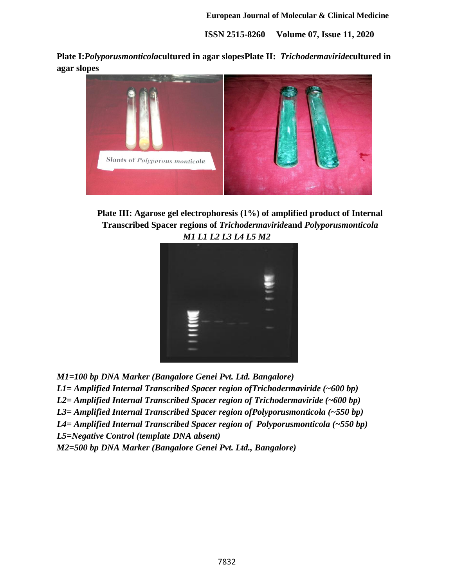**Plate I:***Polyporusmonticola***cultured in agar slopesPlate II:** *Trichodermaviride***cultured in agar slopes**



**Plate III: Agarose gel electrophoresis (1%) of amplified product of Internal Transcribed Spacer regions of** *Trichodermaviride***and** *Polyporusmonticola M1 L1 L2 L3 L4 L5 M2*



*M1=100 bp DNA Marker (Bangalore Genei Pvt. Ltd. Bangalore)*

*L1= Amplified Internal Transcribed Spacer region ofTrichodermaviride (~600 bp)*

*L2= Amplified Internal Transcribed Spacer region of Trichodermaviride (~600 bp)*

*L3= Amplified Internal Transcribed Spacer region ofPolyporusmonticola (~550 bp)*

*L4= Amplified Internal Transcribed Spacer region of Polyporusmonticola (~550 bp)*

*L5=Negative Control (template DNA absent)*

*M2=500 bp DNA Marker (Bangalore Genei Pvt. Ltd., Bangalore)*